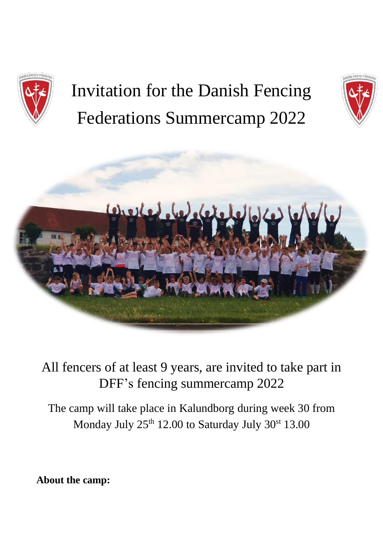

# Invitation for the Danish Fencing Federations Summercamp 2022





All fencers of at least 9 years, are invited to take part in DFF's fencing summercamp 2022

The camp will take place in Kalundborg during week 30 from Monday July 25<sup>th</sup> 12.00 to Saturday July 30<sup>st</sup> 13.00

**About the camp:**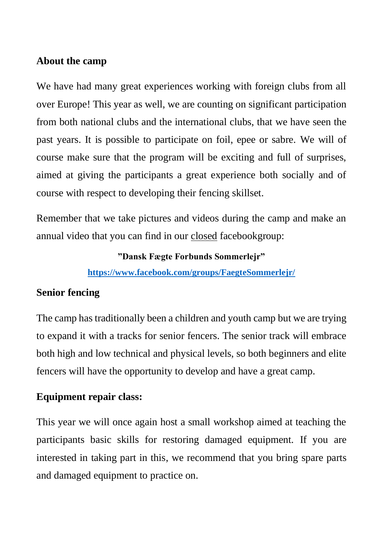#### **About the camp**

We have had many great experiences working with foreign clubs from all over Europe! This year as well, we are counting on significant participation from both national clubs and the international clubs, that we have seen the past years. It is possible to participate on foil, epee or sabre. We will of course make sure that the program will be exciting and full of surprises, aimed at giving the participants a great experience both socially and of course with respect to developing their fencing skillset.

Remember that we take pictures and videos during the camp and make an annual video that you can find in our closed facebookgroup:

**"Dansk Fægte Forbunds Sommerlejr"**

**<https://www.facebook.com/groups/FaegteSommerlejr/>**

## **Senior fencing**

The camp has traditionally been a children and youth camp but we are trying to expand it with a tracks for senior fencers. The senior track will embrace both high and low technical and physical levels, so both beginners and elite fencers will have the opportunity to develop and have a great camp.

# **Equipment repair class:**

This year we will once again host a small workshop aimed at teaching the participants basic skills for restoring damaged equipment. If you are interested in taking part in this, we recommend that you bring spare parts and damaged equipment to practice on.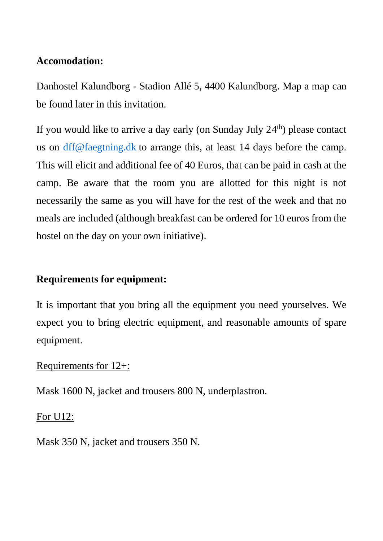## **Accomodation:**

Danhostel Kalundborg - Stadion Allé 5, 4400 Kalundborg. Map a map can be found later in this invitation.

If you would like to arrive a day early (on Sunday July  $24<sup>th</sup>$ ) please contact us on dff@faegtning.dk to arrange this, at least 14 days before the camp. This will elicit and additional fee of 40 Euros, that can be paid in cash at the camp. Be aware that the room you are allotted for this night is not necessarily the same as you will have for the rest of the week and that no meals are included (although breakfast can be ordered for 10 euros from the hostel on the day on your own initiative).

# **Requirements for equipment:**

It is important that you bring all the equipment you need yourselves. We expect you to bring electric equipment, and reasonable amounts of spare equipment.

## Requirements for 12+:

Mask 1600 N, jacket and trousers 800 N, underplastron.

## For U12:

Mask 350 N, jacket and trousers 350 N.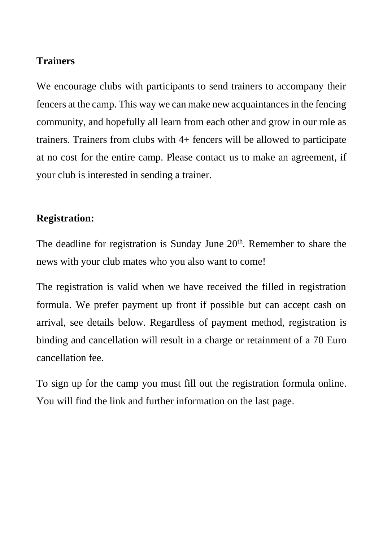### **Trainers**

We encourage clubs with participants to send trainers to accompany their fencers at the camp. This way we can make new acquaintances in the fencing community, and hopefully all learn from each other and grow in our role as trainers. Trainers from clubs with 4+ fencers will be allowed to participate at no cost for the entire camp. Please contact us to make an agreement, if your club is interested in sending a trainer.

#### **Registration:**

The deadline for registration is Sunday June  $20<sup>th</sup>$ . Remember to share the news with your club mates who you also want to come!

The registration is valid when we have received the filled in registration formula. We prefer payment up front if possible but can accept cash on arrival, see details below. Regardless of payment method, registration is binding and cancellation will result in a charge or retainment of a 70 Euro cancellation fee.

To sign up for the camp you must fill out the registration formula online. You will find the link and further information on the last page.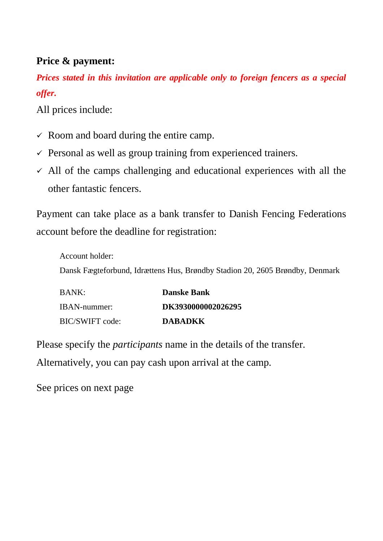## **Price & payment:**

*Prices stated in this invitation are applicable only to foreign fencers as a special offer.*

All prices include:

- $\checkmark$  Room and board during the entire camp.
- $\checkmark$  Personal as well as group training from experienced trainers.
- $\checkmark$  All of the camps challenging and educational experiences with all the other fantastic fencers.

Payment can take place as a bank transfer to Danish Fencing Federations account before the deadline for registration:

Account holder: Dansk Fægteforbund, Idrættens Hus, Brøndby Stadion 20, 2605 Brøndby, Denmark

| BANK:           | <b>Danske Bank</b> |
|-----------------|--------------------|
| IBAN-nummer:    | DK3930000002026295 |
| BIC/SWIFT code: | <b>DABADKK</b>     |

Please specify the *participants* name in the details of the transfer. Alternatively, you can pay cash upon arrival at the camp.

See prices on next page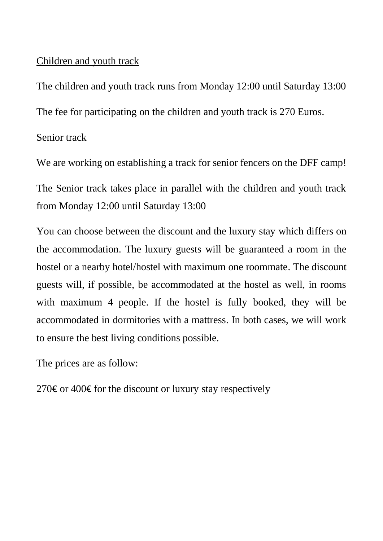## Children and youth track

The children and youth track runs from Monday 12:00 until Saturday 13:00 The fee for participating on the children and youth track is 270 Euros.

## Senior track

We are working on establishing a track for senior fencers on the DFF camp! The Senior track takes place in parallel with the children and youth track from Monday 12:00 until Saturday 13:00

You can choose between the discount and the luxury stay which differs on the accommodation. The luxury guests will be guaranteed a room in the hostel or a nearby hotel/hostel with maximum one roommate. The discount guests will, if possible, be accommodated at the hostel as well, in rooms with maximum 4 people. If the hostel is fully booked, they will be accommodated in dormitories with a mattress. In both cases, we will work to ensure the best living conditions possible.

The prices are as follow:

270€ or 400€ for the discount or luxury stay respectively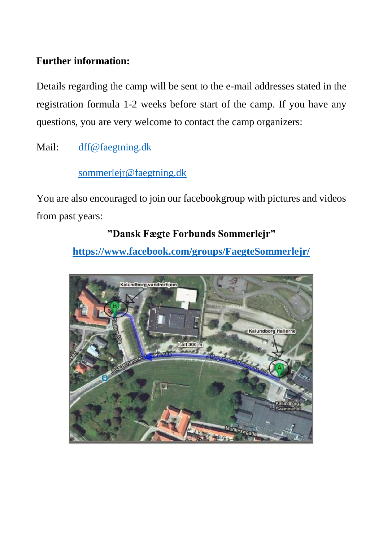# **Further information:**

Details regarding the camp will be sent to the e-mail addresses stated in the registration formula 1-2 weeks before start of the camp. If you have any questions, you are very welcome to contact the camp organizers:

Mail: [dff@faegtning.dk](mailto:dff@faegtning.dk)

# [sommerlejr@faegtning.dk](mailto:sommerlejr@faegtning.dk)

You are also encouraged to join our facebookgroup with pictures and videos from past years:

# **"Dansk Fægte Forbunds Sommerlejr"**

**<https://www.facebook.com/groups/FaegteSommerlejr/>**